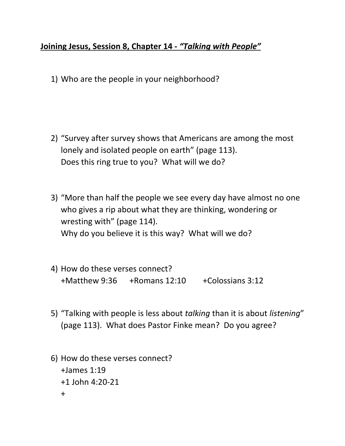## **Joining Jesus, Session 8, Chapter 14 -** *"Talking with People"*

1) Who are the people in your neighborhood?

- 2) "Survey after survey shows that Americans are among the most lonely and isolated people on earth" (page 113). Does this ring true to you? What will we do?
- 3) "More than half the people we see every day have almost no one who gives a rip about what they are thinking, wondering or wresting with" (page 114). Why do you believe it is this way? What will we do?
- 4) How do these verses connect? +Matthew 9:36 +Romans 12:10 +Colossians 3:12
- 5) "Talking with people is less about *talking* than it is about *listening*" (page 113). What does Pastor Finke mean? Do you agree?
- 6) How do these verses connect? +James 1:19 +1 John 4:20-21 +